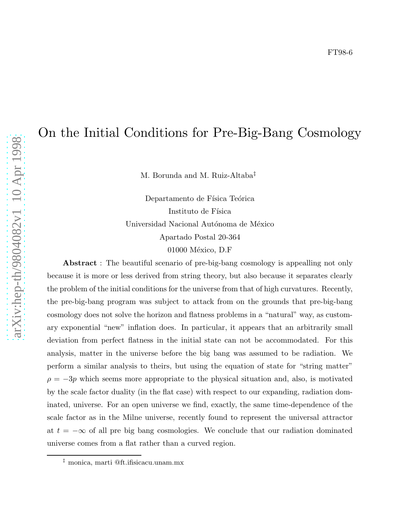# On the Initial Conditions for Pre-Big-Bang Cosmology

M. Borunda and M. Ruiz-Altaba ‡

Departamento de Física Teórica Instituto de Física Universidad Nacional Autónoma de México Apartado Postal 20-364 01000 México, D.F

Abstract : The beautiful scenario of pre-big-bang cosmology is appealling not only because it is more or less derived from string theory, but also because it separates clearly the problem of the initial conditions for the universe from that of high curvatures. Recently, the pre-big-bang program was subject to attack from on the grounds that pre-big-bang cosmology does not solve the horizon and flatness problems in a "natural" way, as customary exponential "new" inflation does. In particular, it appears that an arbitrarily small deviation from perfect flatness in the initial state can not be accommodated. For this analysis, matter in the universe before the big bang was assumed to be radiation. We perform a similar analysis to theirs, but using the equation of state for "string matter"  $\rho = -3p$  which seems more appropriate to the physical situation and, also, is motivated by the scale factor duality (in the flat case) with respect to our expanding, radiation dominated, universe. For an open universe we find, exactly, the same time-dependence of the scale factor as in the Milne universe, recently found to represent the universal attractor at  $t = -\infty$  of all pre big bang cosmologies. We conclude that our radiation dominated universe comes from a flat rather than a curved region.

<sup>‡</sup> monica, marti @ft.ifisicacu.unam.mx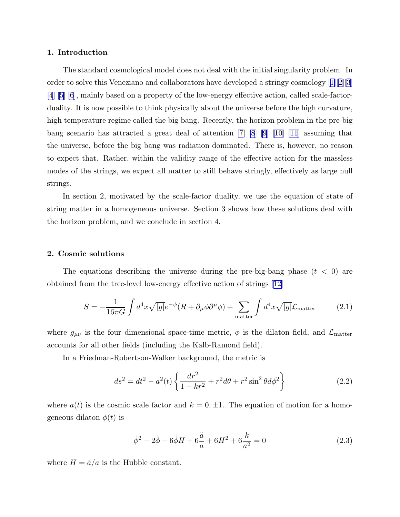# <span id="page-1-0"></span>1. Introduction

The standard cosmological model does not deal with the initial singularity problem. In order to solve this Veneziano and collaborators have developed a stringy cosmology[[1\]\[2](#page-7-0)][[3\]](#page-7-0) [\[4](#page-7-0)] [\[5](#page-7-0)] [\[6](#page-7-0)], mainly based on a property of the low-energy effective action, called scale-factorduality. It is now possible to think physically about the universe before the high curvature, high temperature regime called the big bang. Recently, the horizon problem in the pre-big bang scenario has attracted a great deal of attention [\[7](#page-7-0)] [\[8](#page-7-0)] [\[9](#page-7-0)] [\[10](#page-7-0)] [\[11](#page-7-0)] assuming that the universe, before the big bang was radiation dominated. There is, however, no reason to expect that. Rather, within the validity range of the effective action for the massless modes of the strings, we expect all matter to still behave stringly, effectively as large null strings.

In section 2, motivated by the scale-factor duality, we use the equation of state of string matter in a homogeneous universe. Section 3 shows how these solutions deal with the horizon problem, and we conclude in section 4.

## 2. Cosmic solutions

The equations describing the universe during the pre-big-bang phase  $(t < 0)$  are obtained from the tree-level low-energy effective action of strings[[12\]](#page-7-0)

$$
S = -\frac{1}{16\pi G} \int d^4x \sqrt{|g|} e^{-\phi} (R + \partial_\mu \phi \partial^\mu \phi) + \sum_{\text{matter}} \int d^4x \sqrt{|g|} \mathcal{L}_{\text{matter}} \tag{2.1}
$$

where  $g_{\mu\nu}$  is the four dimensional space-time metric,  $\phi$  is the dilaton field, and  $\mathcal{L}_{\text{matter}}$ accounts for all other fields (including the Kalb-Ramond field).

In a Friedman-Robertson-Walker background, the metric is

$$
ds^{2} = dt^{2} - a^{2}(t) \left\{ \frac{dr^{2}}{1 - kr^{2}} + r^{2} d\theta + r^{2} \sin^{2} \theta d\phi^{2} \right\}
$$
 (2.2)

where  $a(t)$  is the cosmic scale factor and  $k = 0, \pm 1$ . The equation of motion for a homogeneous dilaton  $\phi(t)$  is

$$
\dot{\phi}^2 - 2\ddot{\phi} - 6\dot{\phi}H + 6\frac{\ddot{a}}{a} + 6H^2 + 6\frac{k}{a^2} = 0
$$
\n(2.3)

where  $H = \dot{a}/a$  is the Hubble constant.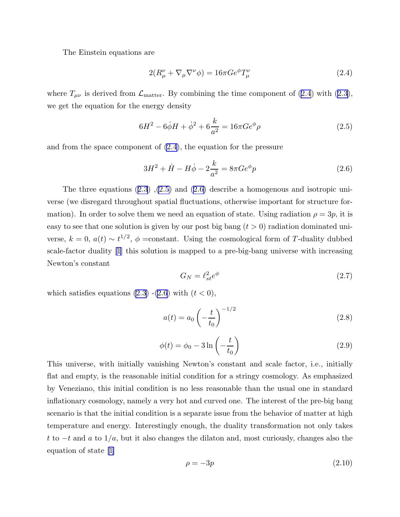<span id="page-2-0"></span>The Einstein equations are

$$
2(R^{\nu}_{\mu} + \nabla_{\mu}\nabla^{\nu}\phi) = 16\pi Ge^{\phi}T^{\nu}_{\mu}
$$
\n(2.4)

where $T_{\mu\nu}$  is derived from  $\mathcal{L}_{\text{matter}}$ . By combining the time component of (2.4) with ([2.3](#page-1-0)), we get the equation for the energy density

$$
6H^2 - 6\dot{\phi}H + \dot{\phi}^2 + 6\frac{k}{a^2} = 16\pi Ge^{\phi}\rho
$$
 (2.5)

and from the space component of (2.4), the equation for the pressure

$$
3H^2 + \dot{H} - H\dot{\phi} - 2\frac{k}{a^2} = 8\pi Ge^{\phi}p
$$
 (2.6)

Thethree equations  $(2.3)$  $(2.3)$  $(2.3)$ ,  $(2.5)$  and  $(2.6)$  describe a homogenous and isotropic universe (we disregard throughout spatial fluctuations, otherwise important for structure formation). In order to solve them we need an equation of state. Using radiation  $\rho = 3p$ , it is easy to see that one solution is given by our post big bang  $(t > 0)$  radiation dominated universe,  $k = 0$ ,  $a(t) \sim t^{1/2}$ ,  $\phi$  = constant. Using the cosmological form of T-duality dubbed scale-factor duality[[1](#page-7-0)] this solution is mapped to a pre-big-bang universe with increasing Newton's constant

$$
G_N = \ell_{st}^2 e^{\phi} \tag{2.7}
$$

which satisfies equations  $(2.3)$  - $(2.6)$  with  $(t < 0)$ ,

$$
a(t) = a_0 \left(-\frac{t}{t_0}\right)^{-1/2} \tag{2.8}
$$

$$
\phi(t) = \phi_0 - 3\ln\left(-\frac{t}{t_0}\right) \tag{2.9}
$$

This universe, with initially vanishing Newton's constant and scale factor, i.e., initially flat and empty, is the reasonable initial condition for a stringy cosmology. As emphasized by Veneziano, this initial condition is no less reasonable than the usual one in standard inflationary cosmology, namely a very hot and curved one. The interest of the pre-big bang scenario is that the initial condition is a separate issue from the behavior of matter at high temperature and energy. Interestingly enough, the duality transformation not only takes t to  $-t$  and  $a$  to  $1/a$ , but it also changes the dilaton and, most curiously, changes also the equation of state[[1](#page-7-0)]

$$
\rho = -3p \tag{2.10}
$$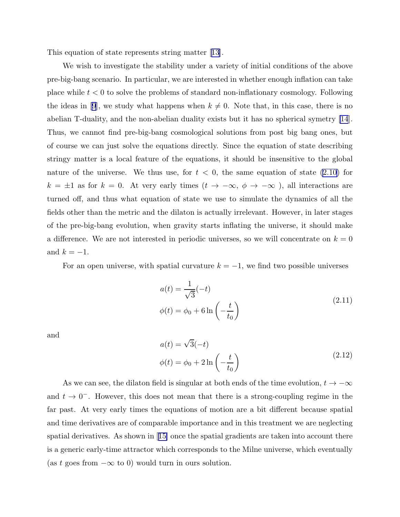<span id="page-3-0"></span>This equation of state represents string matter[[13\]](#page-7-0).

We wish to investigate the stability under a variety of initial conditions of the above pre-big-bang scenario. In particular, we are interested in whether enough inflation can take place while  $t < 0$  to solve the problems of standard non-inflationary cosmology. Following theideas in [[9](#page-7-0)], we study what happens when  $k \neq 0$ . Note that, in this case, there is no abelian T-duality, and the non-abelian duality exists but it has no spherical symetry [\[14](#page-7-0)]. Thus, we cannot find pre-big-bang cosmological solutions from post big bang ones, but of course we can just solve the equations directly. Since the equation of state describing stringy matter is a local feature of the equations, it should be insensitive to the global nature of the universe. We thus use, for  $t < 0$ , the same equation of state  $(2.10)$  for  $k = ±1$  as for  $k = 0$ . At very early times  $(t → -∞, φ → -∞)$ , all interactions are turned off, and thus what equation of state we use to simulate the dynamics of all the fields other than the metric and the dilaton is actually irrelevant. However, in later stages of the pre-big-bang evolution, when gravity starts inflating the universe, it should make a difference. We are not interested in periodic universes, so we will concentrate on  $k = 0$ and  $k = -1$ .

For an open universe, with spatial curvature  $k = -1$ , we find two possible universes

$$
a(t) = \frac{1}{\sqrt{3}}(-t)
$$
  

$$
\phi(t) = \phi_0 + 6\ln\left(-\frac{t}{t_0}\right)
$$
 (2.11)

and

$$
a(t) = \sqrt{3}(-t)
$$
  

$$
\phi(t) = \phi_0 + 2\ln\left(-\frac{t}{t_0}\right)
$$
 (2.12)

As we can see, the dilaton field is singular at both ends of the time evolution,  $t\rightarrow -\infty$ and  $t \to 0^-$ . However, this does not mean that there is a strong-coupling regime in the far past. At very early times the equations of motion are a bit different because spatial and time derivatives are of comparable importance and in this treatment we are neglecting spatial derivatives. As shown in[[15\]](#page-7-0) once the spatial gradients are taken into account there is a generic early-time attractor which corresponds to the Milne universe, which eventually (as t goes from  $-\infty$  to 0) would turn in ours solution.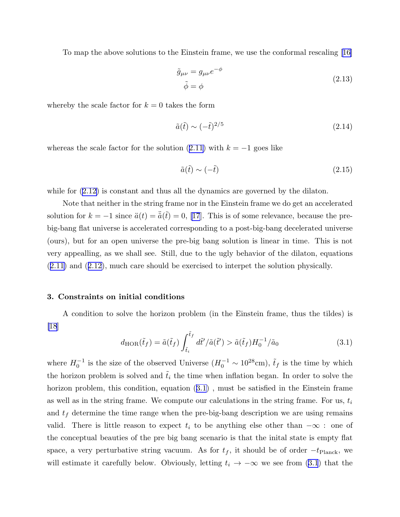To map the above solutions to the Einstein frame, we use the conformal rescaling[[16\]](#page-7-0)

$$
\tilde{g}_{\mu\nu} = g_{\mu\nu}e^{-\phi}
$$
\n
$$
\tilde{\phi} = \phi
$$
\n(2.13)

whereby the scale factor for  $k = 0$  takes the form

$$
\tilde{a}(\tilde{t}) \sim (-\tilde{t})^{2/5} \tag{2.14}
$$

whereasthe scale factor for the solution  $(2.11)$  $(2.11)$  with  $k = -1$  goes like

$$
\tilde{a}(\tilde{t}) \sim (-\tilde{t}) \tag{2.15}
$$

while for  $(2.12)$  is constant and thus all the dynamics are governed by the dilaton.

Note that neither in the string frame nor in the Einstein frame we do get an accelerated solution for  $k = -1$  since  $\ddot{a}(t) = \ddot{a}(\tilde{t}) = 0$ , [\[17](#page-7-0)]. This is of some relevance, because the prebig-bang flat universe is accelerated corresponding to a post-big-bang decelerated universe (ours), but for an open universe the pre-big bang solution is linear in time. This is not very appealling, as we shall see. Still, due to the ugly behavior of the dilaton, equations ([2.11](#page-3-0)) and([2.12\)](#page-3-0), much care should be exercised to interpet the solution physically.

#### 3. Constraints on initial conditions

A condition to solve the horizon problem (in the Einstein frame, thus the tildes) is [\[18](#page-7-0)]

$$
d_{\text{HOR}}(\tilde{t}_f) = \tilde{a}(\tilde{t}_f) \int_{\tilde{t}_i}^{\tilde{t}_f} d\tilde{t}' / \tilde{a}(\tilde{t}') > \tilde{a}(\tilde{t}_f) H_0^{-1} / \tilde{a}_0
$$
\n(3.1)

where  $H_0^{-1}$  $i_0^{-1}$  is the size of the observed Universe  $(H_0^{-1} \sim 10^{28} \text{cm})$ ,  $\tilde{t}_f$  is the time by which the horizon problem is solved and  $\tilde{t}_i$  the time when inflation began. In order to solve the horizon problem, this condition, equation (3.1) , must be satisfied in the Einstein frame as well as in the string frame. We compute our calculations in the string frame. For us,  $t_i$ and  $t_f$  determine the time range when the pre-big-bang description we are using remains valid. There is little reason to expect  $t_i$  to be anything else other than  $-\infty$ : one of the conceptual beauties of the pre big bang scenario is that the inital state is empty flat space, a very perturbative string vacuum. As for  $t_f$ , it should be of order  $-t_{\text{Planck}}$ , we will estimate it carefully below. Obviously, letting  $t_i \rightarrow -\infty$  we see from (3.1) that the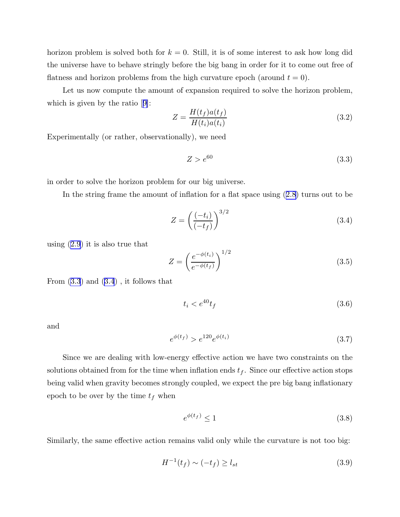horizon problem is solved both for  $k = 0$ . Still, it is of some interest to ask how long did the universe have to behave stringly before the big bang in order for it to come out free of flatness and horizon problems from the high curvature epoch (around  $t = 0$ ).

Let us now compute the amount of expansion required to solve the horizon problem, which is given by the ratio[[9\]](#page-7-0):

$$
Z = \frac{H(t_f)a(t_f)}{H(t_i)a(t_i)}
$$
\n(3.2)

Experimentally (or rather, observationally), we need

$$
Z > e^{60} \tag{3.3}
$$

in order to solve the horizon problem for our big universe.

In the string frame the amount of inflation for a flat space using([2.8](#page-2-0)) turns out to be

$$
Z = \left(\frac{(-t_i)}{(-t_f)}\right)^{3/2} \tag{3.4}
$$

using([2.9](#page-2-0)) it is also true that

$$
Z = \left(\frac{e^{-\phi(t_i)}}{e^{-\phi(t_f)}}\right)^{1/2} \tag{3.5}
$$

From  $(3.3)$  and  $(3.4)$ , it follows that

$$
t_i < e^{40} t_f \tag{3.6}
$$

and

$$
e^{\phi(t_f)} > e^{120} e^{\phi(t_i)} \tag{3.7}
$$

Since we are dealing with low-energy effective action we have two constraints on the solutions obtained from for the time when inflation ends  $t_f$ . Since our effective action stops being valid when gravity becomes strongly coupled, we expect the pre big bang inflationary epoch to be over by the time  $t_f$  when

$$
e^{\phi(t_f)} \le 1\tag{3.8}
$$

Similarly, the same effective action remains valid only while the curvature is not too big:

$$
H^{-1}(t_f) \sim (-t_f) \ge l_{st} \tag{3.9}
$$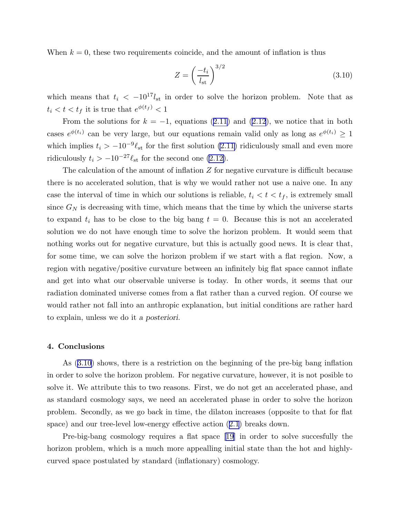When  $k = 0$ , these two requirements coincide, and the amount of inflation is thus

$$
Z = \left(\frac{-t_i}{l_{\rm st}}\right)^{3/2} \tag{3.10}
$$

which means that  $t_i < -10^{17} l_{st}$  in order to solve the horizon problem. Note that as  $t_i < t < t_f$  it is true that  $e^{\phi(t_f)} < 1$ 

Fromthe solutions for  $k = -1$ , equations ([2.11\)](#page-3-0) and ([2.12](#page-3-0)), we notice that in both cases  $e^{\phi(t_i)}$  can be very large, but our equations remain valid only as long as  $e^{\phi(t_i)} \geq 1$ which implies  $t_i > -10^{-9} \ell_{st}$  for the first solution [\(2.11\)](#page-3-0) ridiculously small and even more ridiculously  $t_i > -10^{-27} \ell_{st}$  for the second one [\(2.12\)](#page-3-0).

The calculation of the amount of inflation Z for negative curvature is difficult because there is no accelerated solution, that is why we would rather not use a naive one. In any case the interval of time in which our solutions is reliable,  $t_i < t < t_f$ , is extremely small since  $G_N$  is decreasing with time, which means that the time by which the universe starts to expand  $t_i$  has to be close to the big bang  $t = 0$ . Because this is not an accelerated solution we do not have enough time to solve the horizon problem. It would seem that nothing works out for negative curvature, but this is actually good news. It is clear that, for some time, we can solve the horizon problem if we start with a flat region. Now, a region with negative/positive curvature between an infinitely big flat space cannot inflate and get into what our observable universe is today. In other words, it seems that our radiation dominated universe comes from a flat rather than a curved region. Of course we would rather not fall into an anthropic explanation, but initial conditions are rather hard to explain, unless we do it a posteriori.

### 4. Conclusions

As (3.10) shows, there is a restriction on the beginning of the pre-big bang inflation in order to solve the horizon problem. For negative curvature, however, it is not posible to solve it. We attribute this to two reasons. First, we do not get an accelerated phase, and as standard cosmology says, we need an accelerated phase in order to solve the horizon problem. Secondly, as we go back in time, the dilaton increases (opposite to that for flat space) and our tree-level low-energy effective action([2.1](#page-1-0)) breaks down.

Pre-big-bang cosmology requires a flat space[[19\]](#page-7-0) in order to solve succesfully the horizon problem, which is a much more appealling initial state than the hot and highlycurved space postulated by standard (inflationary) cosmology.